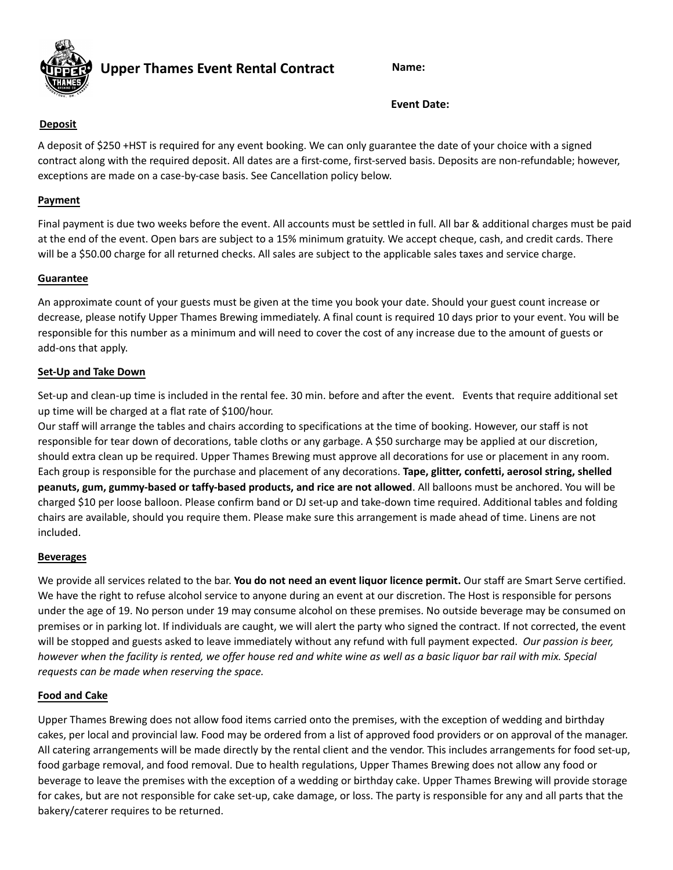

**Upper Thames Event Rental Contract Name:**

**Event Date:**

## **Deposit**

A deposit of \$250 +HST is required for any event booking. We can only guarantee the date of your choice with a signed contract along with the required deposit. All dates are a first-come, first-served basis. Deposits are non-refundable; however, exceptions are made on a case-by-case basis. See Cancellation policy below.

## **Payment**

Final payment is due two weeks before the event. All accounts must be settled in full. All bar & additional charges must be paid at the end of the event. Open bars are subject to a 15% minimum gratuity. We accept cheque, cash, and credit cards. There will be a \$50.00 charge for all returned checks. All sales are subject to the applicable sales taxes and service charge.

## **Guarantee**

An approximate count of your guests must be given at the time you book your date. Should your guest count increase or decrease, please notify Upper Thames Brewing immediately. A final count is required 10 days prior to your event. You will be responsible for this number as a minimum and will need to cover the cost of any increase due to the amount of guests or add-ons that apply.

### **Set-Up and Take Down**

Set-up and clean-up time is included in the rental fee. 30 min. before and after the event. Events that require additional set up time will be charged at a flat rate of \$100/hour.

Our staff will arrange the tables and chairs according to specifications at the time of booking. However, our staff is not responsible for tear down of decorations, table cloths or any garbage. A \$50 surcharge may be applied at our discretion, should extra clean up be required. Upper Thames Brewing must approve all decorations for use or placement in any room. Each group is responsible for the purchase and placement of any decorations. **Tape, glitter, confetti, aerosol string, shelled peanuts, gum, gummy-based or taffy-based products, and rice are not allowed**. All balloons must be anchored. You will be charged \$10 per loose balloon. Please confirm band or DJ set-up and take-down time required. Additional tables and folding chairs are available, should you require them. Please make sure this arrangement is made ahead of time. Linens are not included.

### **Beverages**

We provide all services related to the bar. **You do not need an event liquor licence permit.** Our staff are Smart Serve certified. We have the right to refuse alcohol service to anyone during an event at our discretion. The Host is responsible for persons under the age of 19. No person under 19 may consume alcohol on these premises. No outside beverage may be consumed on premises or in parking lot. If individuals are caught, we will alert the party who signed the contract. If not corrected, the event will be stopped and guests asked to leave immediately without any refund with full payment expected. *Our passion is beer, however when the facility is rented, we offer house red and white wine as well as a basic liquor bar rail with mix. Special requests can be made when reserving the space.*

### **Food and Cake**

Upper Thames Brewing does not allow food items carried onto the premises, with the exception of wedding and birthday cakes, per local and provincial law. Food may be ordered from a list of approved food providers or on approval of the manager. All catering arrangements will be made directly by the rental client and the vendor. This includes arrangements for food set-up, food garbage removal, and food removal. Due to health regulations, Upper Thames Brewing does not allow any food or beverage to leave the premises with the exception of a wedding or birthday cake. Upper Thames Brewing will provide storage for cakes, but are not responsible for cake set-up, cake damage, or loss. The party is responsible for any and all parts that the bakery/caterer requires to be returned.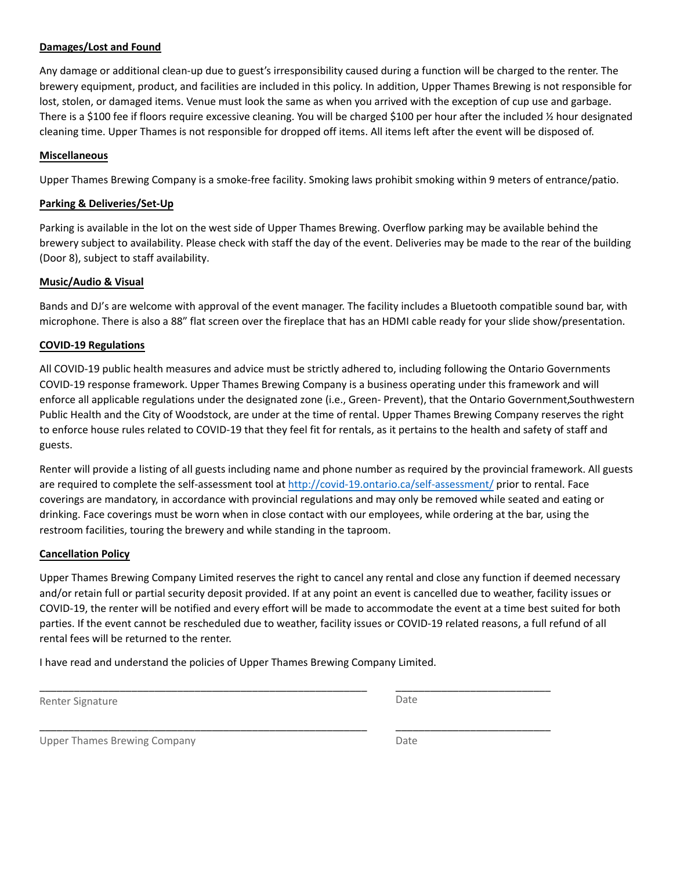### **Damages/Lost and Found**

Any damage or additional clean-up due to guest's irresponsibility caused during a function will be charged to the renter. The brewery equipment, product, and facilities are included in this policy. In addition, Upper Thames Brewing is not responsible for lost, stolen, or damaged items. Venue must look the same as when you arrived with the exception of cup use and garbage. There is a \$100 fee if floors require excessive cleaning. You will be charged \$100 per hour after the included ½ hour designated cleaning time. Upper Thames is not responsible for dropped off items. All items left after the event will be disposed of.

#### **Miscellaneous**

Upper Thames Brewing Company is a smoke-free facility. Smoking laws prohibit smoking within 9 meters of entrance/patio.

#### **Parking & Deliveries/Set-Up**

Parking is available in the lot on the west side of Upper Thames Brewing. Overflow parking may be available behind the brewery subject to availability. Please check with staff the day of the event. Deliveries may be made to the rear of the building (Door 8), subject to staff availability.

#### **Music/Audio & Visual**

Bands and DJ's are welcome with approval of the event manager. The facility includes a Bluetooth compatible sound bar, with microphone. There is also a 88" flat screen over the fireplace that has an HDMI cable ready for your slide show/presentation.

#### **COVID-19 Regulations**

All COVID-19 public health measures and advice must be strictly adhered to, including following the Ontario Governments COVID-19 response framework. Upper Thames Brewing Company is a business operating under this framework and will enforce all applicable regulations under the designated zone (i.e., Green- Prevent), that the Ontario Government,Southwestern Public Health and the City of Woodstock, are under at the time of rental. Upper Thames Brewing Company reserves the right to enforce house rules related to COVID-19 that they feel fit for rentals, as it pertains to the health and safety of staff and guests.

Renter will provide a listing of all guests including name and phone number as required by the provincial framework. All guests are required to complete the self-assessment tool at <http://covid-19.ontario.ca/self-assessment/> prior to rental. Face coverings are mandatory, in accordance with provincial regulations and may only be removed while seated and eating or drinking. Face coverings must be worn when in close contact with our employees, while ordering at the bar, using the restroom facilities, touring the brewery and while standing in the taproom.

#### **Cancellation Policy**

Upper Thames Brewing Company Limited reserves the right to cancel any rental and close any function if deemed necessary and/or retain full or partial security deposit provided. If at any point an event is cancelled due to weather, facility issues or COVID-19, the renter will be notified and every effort will be made to accommodate the event at a time best suited for both parties. If the event cannot be rescheduled due to weather, facility issues or COVID-19 related reasons, a full refund of all rental fees will be returned to the renter.

\_\_\_\_\_\_\_\_\_\_\_\_\_\_\_\_\_\_\_\_\_\_\_\_\_\_\_\_\_\_\_\_\_\_\_\_\_\_\_\_\_\_\_\_\_\_\_\_\_\_\_\_\_\_\_\_\_ \_\_\_\_\_\_\_\_\_\_\_\_\_\_\_\_\_\_\_\_\_\_\_\_\_\_\_

\_\_\_\_\_\_\_\_\_\_\_\_\_\_\_\_\_\_\_\_\_\_\_\_\_\_\_\_\_\_\_\_\_\_\_\_\_\_\_\_\_\_\_\_\_\_\_\_\_\_\_\_\_\_\_\_\_ \_\_\_\_\_\_\_\_\_\_\_\_\_\_\_\_\_\_\_\_\_\_\_\_\_\_\_

I have read and understand the policies of Upper Thames Brewing Company Limited.

Renter Signature **Date** 

Upper Thames Brewing Company Date Company Company Date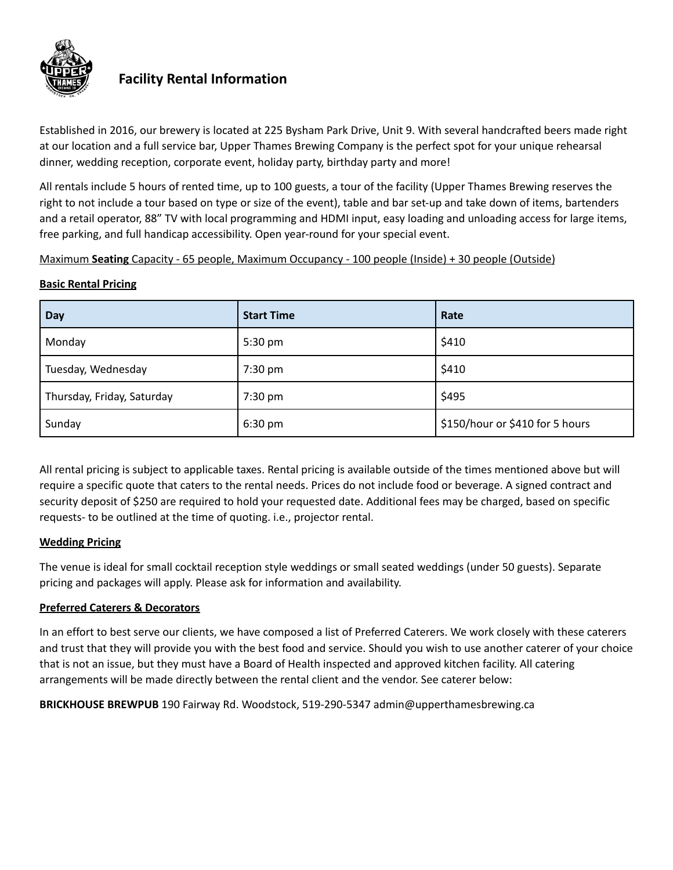

## **Facility Rental Information**

Established in 2016, our brewery is located at 225 Bysham Park Drive, Unit 9. With several handcrafted beers made right at our location and a full service bar, Upper Thames Brewing Company is the perfect spot for your unique rehearsal dinner, wedding reception, corporate event, holiday party, birthday party and more!

All rentals include 5 hours of rented time, up to 100 guests, a tour of the facility (Upper Thames Brewing reserves the right to not include a tour based on type or size of the event), table and bar set‐up and take down of items, bartenders and a retail operator, 88" TV with local programming and HDMI input, easy loading and unloading access for large items, free parking, and full handicap accessibility. Open year-round for your special event.

Maximum **Seating** Capacity - 65 people, Maximum Occupancy - 100 people (Inside) + 30 people (Outside)

## **Basic Rental Pricing**

| Day                        | <b>Start Time</b> | Rate                            |
|----------------------------|-------------------|---------------------------------|
| Monday                     | 5:30 pm           | \$410                           |
| Tuesday, Wednesday         | 7:30 pm           | \$410                           |
| Thursday, Friday, Saturday | 7:30 pm           | \$495                           |
| Sunday                     | $6:30 \text{ pm}$ | \$150/hour or \$410 for 5 hours |

All rental pricing is subject to applicable taxes. Rental pricing is available outside of the times mentioned above but will require a specific quote that caters to the rental needs. Prices do not include food or beverage. A signed contract and security deposit of \$250 are required to hold your requested date. Additional fees may be charged, based on specific requests- to be outlined at the time of quoting. i.e., projector rental.

## **Wedding Pricing**

The venue is ideal for small cocktail reception style weddings or small seated weddings (under 50 guests). Separate pricing and packages will apply. Please ask for information and availability.

## **Preferred Caterers & Decorators**

In an effort to best serve our clients, we have composed a list of Preferred Caterers. We work closely with these caterers and trust that they will provide you with the best food and service. Should you wish to use another caterer of your choice that is not an issue, but they must have a Board of Health inspected and approved kitchen facility. All catering arrangements will be made directly between the rental client and the vendor. See caterer below:

**BRICKHOUSE BREWPUB** 190 Fairway Rd. Woodstock, 519-290-5347 admin@upperthamesbrewing.ca